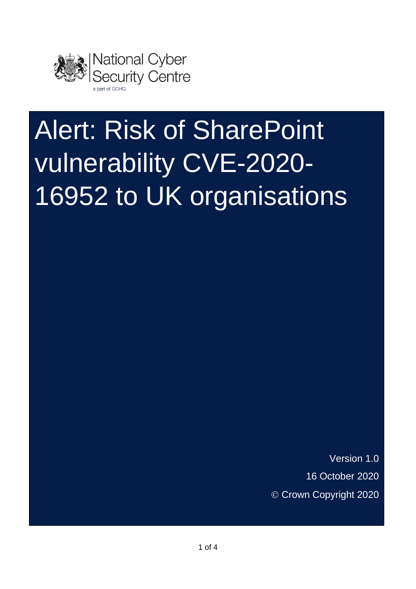

# Alert: Risk of SharePoint vulnerability CVE-2020- 16952 to UK organisations

Version 1.0 16 October 2020 © Crown Copyright 2020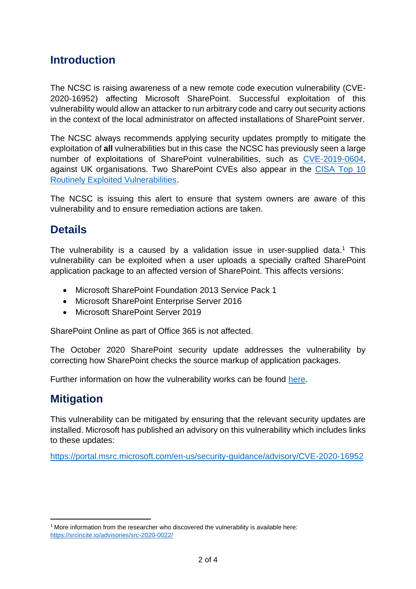## **Introduction**

The NCSC is raising awareness of a new remote code execution vulnerability (CVE-2020-16952) affecting Microsoft SharePoint. Successful exploitation of this vulnerability would allow an attacker to run arbitrary code and carry out security actions in the context of the local administrator on affected installations of SharePoint server.

The NCSC always recommends applying security updates promptly to mitigate the exploitation of **all** vulnerabilities but in this case the NCSC has previously seen a large number of exploitations of SharePoint vulnerabilities, such as [CVE-2019-0604,](https://www.ncsc.gov.uk/news/alert-microsoft-sharepoint-remote-code-vulnerability) against UK organisations. Two SharePoint CVEs also appear in the [CISA Top 10](https://us-cert.cisa.gov/ncas/alerts/aa20-133a)  [Routinely Exploited Vulnerabilities.](https://us-cert.cisa.gov/ncas/alerts/aa20-133a)

The NCSC is issuing this alert to ensure that system owners are aware of this vulnerability and to ensure remediation actions are taken.

## **Details**

The vulnerability is a caused by a validation issue in user-supplied data.<sup>1</sup> This vulnerability can be exploited when a user uploads a specially crafted SharePoint application package to an affected version of SharePoint. This affects versions:

- Microsoft SharePoint Foundation 2013 Service Pack 1
- Microsoft SharePoint Enterprise Server 2016
- Microsoft SharePoint Server 2019

SharePoint Online as part of Office 365 is not affected.

The October 2020 SharePoint security update addresses the vulnerability by correcting how SharePoint checks the source markup of application packages.

Further information on how the vulnerability works can be found [here.](https://attackerkb.com/topics/4yGC4tLK2x/cve-2020-16952-microsoft-sharepoint-remote-code-execution-vulnerabilities#rapid7-analysis)

### **Mitigation**

This vulnerability can be mitigated by ensuring that the relevant security updates are installed. Microsoft has published an advisory on this vulnerability which includes links to these updates:

<https://portal.msrc.microsoft.com/en-us/security-guidance/advisory/CVE-2020-16952>

 $1$  More information from the researcher who discovered the vulnerability is available here: <https://srcincite.io/advisories/src-2020-0022/>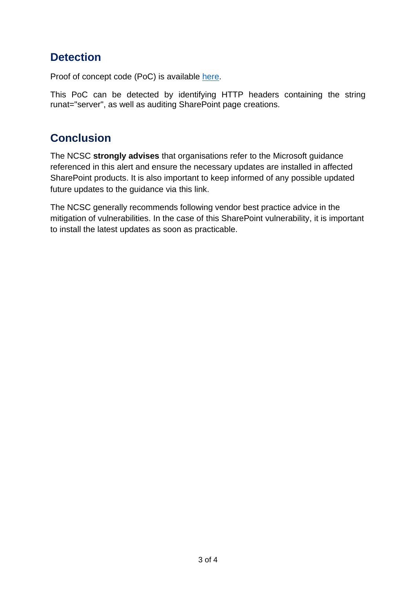## **Detection**

Proof of concept code (PoC) is available [here.](https://srcincite.io/pocs/cve-2020-16952.py.txt)

This PoC can be detected by identifying HTTP headers containing the string runat="server", as well as auditing SharePoint page creations.

## **Conclusion**

The NCSC **strongly advises** that organisations refer to the Microsoft guidance referenced in this alert and ensure the necessary updates are installed in affected SharePoint products. It is also important to keep informed of any possible updated future updates to the guidance via this link.

The NCSC generally recommends following vendor best practice advice in the mitigation of vulnerabilities. In the case of this SharePoint vulnerability, it is important to install the latest updates as soon as practicable.